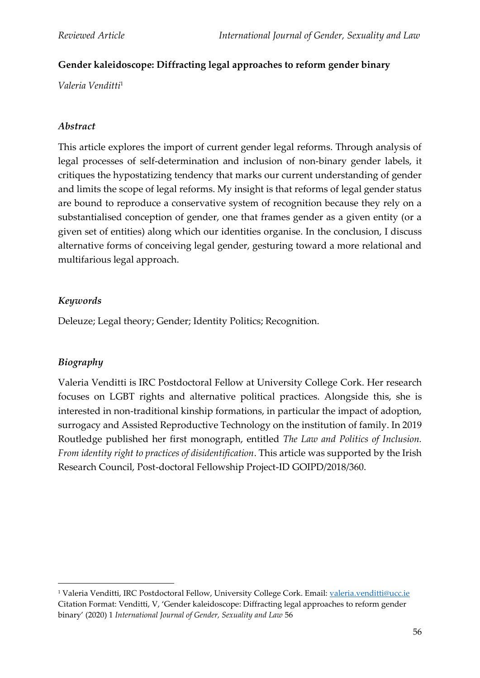# **Gender kaleidoscope: Diffracting legal approaches to reform gender binary**

*Valeria Venditti*<sup>1</sup>

### *Abstract*

This article explores the import of current gender legal reforms. Through analysis of legal processes of self-determination and inclusion of non-binary gender labels, it critiques the hypostatizing tendency that marks our current understanding of gender and limits the scope of legal reforms. My insight is that reforms of legal gender status are bound to reproduce a conservative system of recognition because they rely on a substantialised conception of gender, one that frames gender as a given entity (or a given set of entities) along which our identities organise. In the conclusion, I discuss alternative forms of conceiving legal gender, gesturing toward a more relational and multifarious legal approach.

## *Keywords*

Deleuze; Legal theory; Gender; Identity Politics; Recognition.

## *Biography*

Valeria Venditti is IRC Postdoctoral Fellow at University College Cork. Her research focuses on LGBT rights and alternative political practices. Alongside this, she is interested in non-traditional kinship formations, in particular the impact of adoption, surrogacy and Assisted Reproductive Technology on the institution of family. In 2019 Routledge published her first monograph, entitled *The Law and Politics of Inclusion. From identity right to practices of disidentification*. This article was supported by the Irish Research Council, Post-doctoral Fellowship Project-ID GOIPD/2018/360.

<sup>1</sup> Valeria Venditti, IRC Postdoctoral Fellow, University College Cork. Email: [valeria.venditti@ucc.ie](mailto:valeria.venditti@ucc.ie) Citation Format: Venditti, V, 'Gender kaleidoscope: Diffracting legal approaches to reform gender binary' (2020) 1 *International Journal of Gender, Sexuality and Law* 56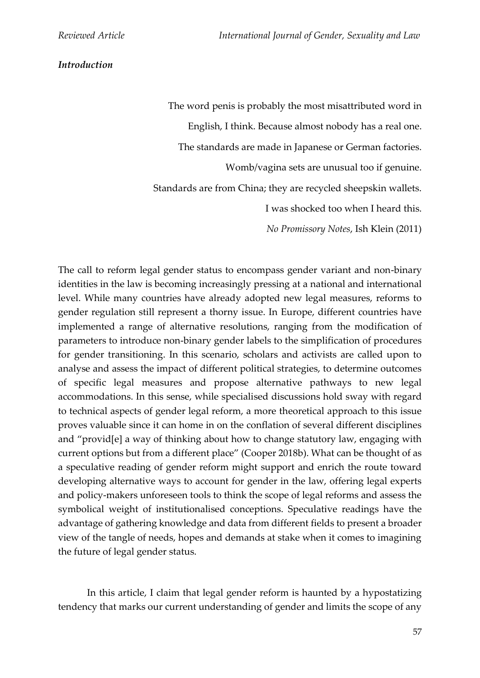#### *Introduction*

The word penis is probably the most misattributed word in English, I think. Because almost nobody has a real one. The standards are made in Japanese or German factories. Womb/vagina sets are unusual too if genuine. Standards are from China; they are recycled sheepskin wallets. I was shocked too when I heard this. *No Promissory Notes*, Ish Klein (2011)

The call to reform legal gender status to encompass gender variant and non-binary identities in the law is becoming increasingly pressing at a national and international level. While many countries have already adopted new legal measures, reforms to gender regulation still represent a thorny issue. In Europe, different countries have implemented a range of alternative resolutions, ranging from the modification of parameters to introduce non-binary gender labels to the simplification of procedures for gender transitioning. In this scenario, scholars and activists are called upon to analyse and assess the impact of different political strategies, to determine outcomes of specific legal measures and propose alternative pathways to new legal accommodations. In this sense, while specialised discussions hold sway with regard to technical aspects of gender legal reform, a more theoretical approach to this issue proves valuable since it can home in on the conflation of several different disciplines and "provid[e] a way of thinking about how to change statutory law, engaging with current options but from a different place" (Cooper 2018b). What can be thought of as a speculative reading of gender reform might support and enrich the route toward developing alternative ways to account for gender in the law, offering legal experts and policy-makers unforeseen tools to think the scope of legal reforms and assess the symbolical weight of institutionalised conceptions. Speculative readings have the advantage of gathering knowledge and data from different fields to present a broader view of the tangle of needs, hopes and demands at stake when it comes to imagining the future of legal gender status.

In this article, I claim that legal gender reform is haunted by a hypostatizing tendency that marks our current understanding of gender and limits the scope of any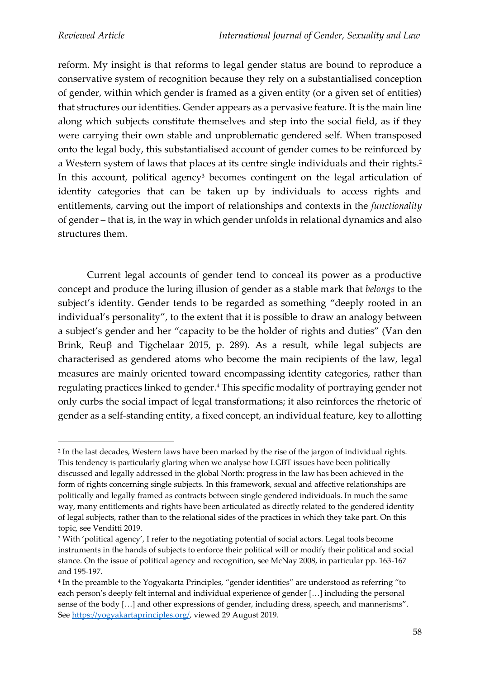reform. My insight is that reforms to legal gender status are bound to reproduce a conservative system of recognition because they rely on a substantialised conception of gender, within which gender is framed as a given entity (or a given set of entities) that structures our identities. Gender appears as a pervasive feature. It is the main line along which subjects constitute themselves and step into the social field, as if they were carrying their own stable and unproblematic gendered self. When transposed onto the legal body, this substantialised account of gender comes to be reinforced by a Western system of laws that places at its centre single individuals and their rights.<sup>2</sup> In this account, political agency<sup>3</sup> becomes contingent on the legal articulation of identity categories that can be taken up by individuals to access rights and entitlements, carving out the import of relationships and contexts in the *functionality* of gender – that is, in the way in which gender unfolds in relational dynamics and also structures them.

Current legal accounts of gender tend to conceal its power as a productive concept and produce the luring illusion of gender as a stable mark that *belongs* to the subject's identity. Gender tends to be regarded as something "deeply rooted in an individual's personality", to the extent that it is possible to draw an analogy between a subject's gender and her "capacity to be the holder of rights and duties" (Van den Brink, Reuβ and Tigchelaar 2015, p. 289). As a result, while legal subjects are characterised as gendered atoms who become the main recipients of the law, legal measures are mainly oriented toward encompassing identity categories, rather than regulating practices linked to gender.<sup>4</sup> This specific modality of portraying gender not only curbs the social impact of legal transformations; it also reinforces the rhetoric of gender as a self-standing entity, a fixed concept, an individual feature, key to allotting

<sup>2</sup> In the last decades, Western laws have been marked by the rise of the jargon of individual rights. This tendency is particularly glaring when we analyse how LGBT issues have been politically discussed and legally addressed in the global North: progress in the law has been achieved in the form of rights concerning single subjects. In this framework, sexual and affective relationships are politically and legally framed as contracts between single gendered individuals. In much the same way, many entitlements and rights have been articulated as directly related to the gendered identity of legal subjects, rather than to the relational sides of the practices in which they take part. On this topic, see Venditti 2019.

<sup>&</sup>lt;sup>3</sup> With 'political agency', I refer to the negotiating potential of social actors. Legal tools become instruments in the hands of subjects to enforce their political will or modify their political and social stance. On the issue of political agency and recognition, see McNay 2008, in particular pp. 163-167 and 195-197.

<sup>4</sup> In the preamble to the Yogyakarta Principles, "gender identities" are understood as referring "to each person's deeply felt internal and individual experience of gender […] including the personal sense of the body […] and other expressions of gender, including dress, speech, and mannerisms". See [https://yogyakartaprinciples.org/,](https://yogyakartaprinciples.org/) viewed 29 August 2019.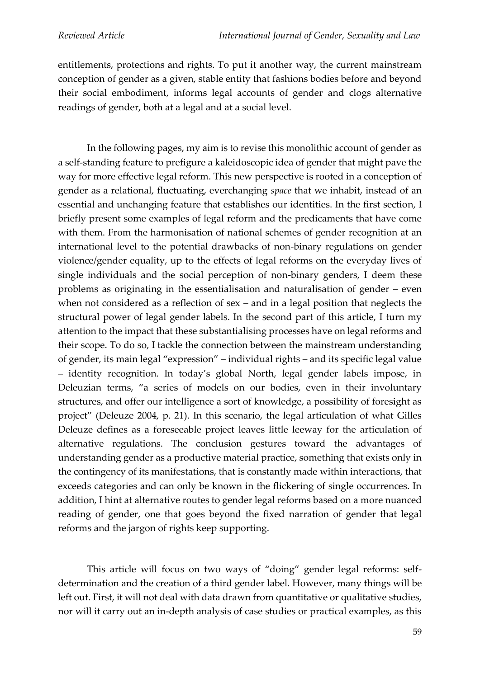entitlements, protections and rights. To put it another way, the current mainstream conception of gender as a given, stable entity that fashions bodies before and beyond their social embodiment, informs legal accounts of gender and clogs alternative readings of gender, both at a legal and at a social level.

In the following pages, my aim is to revise this monolithic account of gender as a self-standing feature to prefigure a kaleidoscopic idea of gender that might pave the way for more effective legal reform. This new perspective is rooted in a conception of gender as a relational, fluctuating, everchanging *space* that we inhabit, instead of an essential and unchanging feature that establishes our identities. In the first section, I briefly present some examples of legal reform and the predicaments that have come with them. From the harmonisation of national schemes of gender recognition at an international level to the potential drawbacks of non-binary regulations on gender violence/gender equality, up to the effects of legal reforms on the everyday lives of single individuals and the social perception of non-binary genders, I deem these problems as originating in the essentialisation and naturalisation of gender – even when not considered as a reflection of sex – and in a legal position that neglects the structural power of legal gender labels. In the second part of this article, I turn my attention to the impact that these substantialising processes have on legal reforms and their scope. To do so, I tackle the connection between the mainstream understanding of gender, its main legal "expression" – individual rights – and its specific legal value – identity recognition. In today's global North, legal gender labels impose, in Deleuzian terms, "a series of models on our bodies, even in their involuntary structures, and offer our intelligence a sort of knowledge, a possibility of foresight as project" (Deleuze 2004, p. 21). In this scenario, the legal articulation of what Gilles Deleuze defines as a foreseeable project leaves little leeway for the articulation of alternative regulations. The conclusion gestures toward the advantages of understanding gender as a productive material practice, something that exists only in the contingency of its manifestations, that is constantly made within interactions, that exceeds categories and can only be known in the flickering of single occurrences. In addition, I hint at alternative routes to gender legal reforms based on a more nuanced reading of gender, one that goes beyond the fixed narration of gender that legal reforms and the jargon of rights keep supporting.

This article will focus on two ways of "doing" gender legal reforms: selfdetermination and the creation of a third gender label. However, many things will be left out. First, it will not deal with data drawn from quantitative or qualitative studies, nor will it carry out an in-depth analysis of case studies or practical examples, as this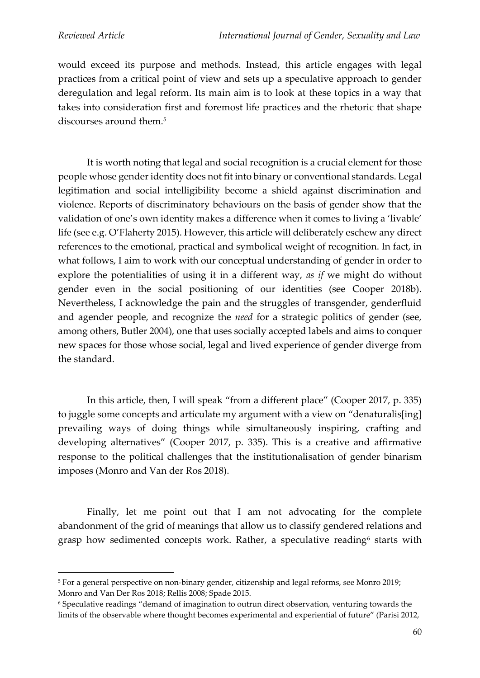would exceed its purpose and methods. Instead, this article engages with legal practices from a critical point of view and sets up a speculative approach to gender deregulation and legal reform. Its main aim is to look at these topics in a way that takes into consideration first and foremost life practices and the rhetoric that shape discourses around them.<sup>5</sup>

It is worth noting that legal and social recognition is a crucial element for those people whose gender identity does not fit into binary or conventional standards. Legal legitimation and social intelligibility become a shield against discrimination and violence. Reports of discriminatory behaviours on the basis of gender show that the validation of one's own identity makes a difference when it comes to living a 'livable' life (see e.g. O'Flaherty 2015). However, this article will deliberately eschew any direct references to the emotional, practical and symbolical weight of recognition. In fact, in what follows, I aim to work with our conceptual understanding of gender in order to explore the potentialities of using it in a different way, *as if* we might do without gender even in the social positioning of our identities (see Cooper 2018b). Nevertheless, I acknowledge the pain and the struggles of transgender, genderfluid and agender people, and recognize the *need* for a strategic politics of gender (see, among others, Butler 2004), one that uses socially accepted labels and aims to conquer new spaces for those whose social, legal and lived experience of gender diverge from the standard.

In this article, then, I will speak "from a different place" (Cooper 2017, p. 335) to juggle some concepts and articulate my argument with a view on "denaturalis[ing] prevailing ways of doing things while simultaneously inspiring, crafting and developing alternatives" (Cooper 2017, p. 335). This is a creative and affirmative response to the political challenges that the institutionalisation of gender binarism imposes (Monro and Van der Ros 2018).

Finally, let me point out that I am not advocating for the complete abandonment of the grid of meanings that allow us to classify gendered relations and grasp how sedimented concepts work. Rather, a speculative reading<sup>6</sup> starts with

<sup>5</sup> For a general perspective on non-binary gender, citizenship and legal reforms, see Monro 2019; Monro and Van Der Ros 2018; Rellis 2008; Spade 2015.

<sup>6</sup> Speculative readings "demand of imagination to outrun direct observation, venturing towards the limits of the observable where thought becomes experimental and experiential of future" (Parisi 2012,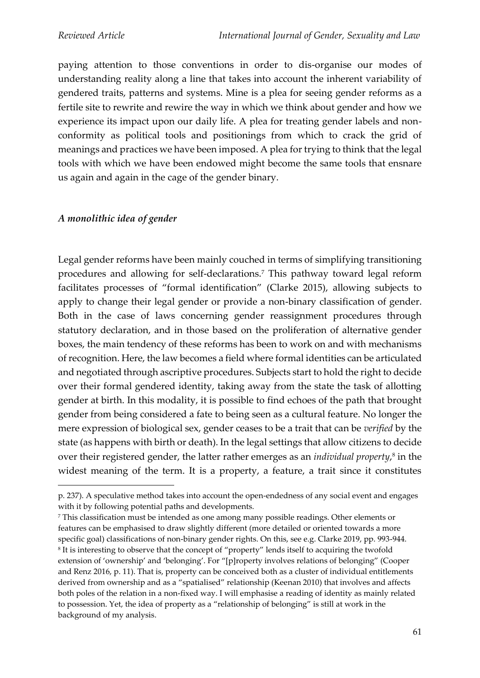paying attention to those conventions in order to dis-organise our modes of understanding reality along a line that takes into account the inherent variability of gendered traits, patterns and systems. Mine is a plea for seeing gender reforms as a fertile site to rewrite and rewire the way in which we think about gender and how we experience its impact upon our daily life. A plea for treating gender labels and nonconformity as political tools and positionings from which to crack the grid of meanings and practices we have been imposed. A plea for trying to think that the legal tools with which we have been endowed might become the same tools that ensnare us again and again in the cage of the gender binary.

### *A monolithic idea of gender*

Legal gender reforms have been mainly couched in terms of simplifying transitioning procedures and allowing for self-declarations.<sup>7</sup> This pathway toward legal reform facilitates processes of "formal identification" (Clarke 2015), allowing subjects to apply to change their legal gender or provide a non-binary classification of gender. Both in the case of laws concerning gender reassignment procedures through statutory declaration, and in those based on the proliferation of alternative gender boxes, the main tendency of these reforms has been to work on and with mechanisms of recognition. Here, the law becomes a field where formal identities can be articulated and negotiated through ascriptive procedures. Subjects start to hold the right to decide over their formal gendered identity, taking away from the state the task of allotting gender at birth. In this modality, it is possible to find echoes of the path that brought gender from being considered a fate to being seen as a cultural feature. No longer the mere expression of biological sex, gender ceases to be a trait that can be *verified* by the state (as happens with birth or death). In the legal settings that allow citizens to decide over their registered gender, the latter rather emerges as an *individual property*, 8 in the widest meaning of the term. It is a property, a feature, a trait since it constitutes

<sup>7</sup> This classification must be intended as one among many possible readings. Other elements or features can be emphasised to draw slightly different (more detailed or oriented towards a more specific goal) classifications of non-binary gender rights. On this, see e.g. Clarke 2019, pp. 993-944. 8 It is interesting to observe that the concept of "property" lends itself to acquiring the twofold extension of 'ownership' and 'belonging'. For "[p]roperty involves relations of belonging" (Cooper and Renz 2016, p. 11). That is, property can be conceived both as a cluster of individual entitlements derived from ownership and as a "spatialised" relationship (Keenan 2010) that involves and affects both poles of the relation in a non-fixed way. I will emphasise a reading of identity as mainly related to possession. Yet, the idea of property as a "relationship of belonging" is still at work in the background of my analysis.

p. 237). A speculative method takes into account the open-endedness of any social event and engages with it by following potential paths and developments.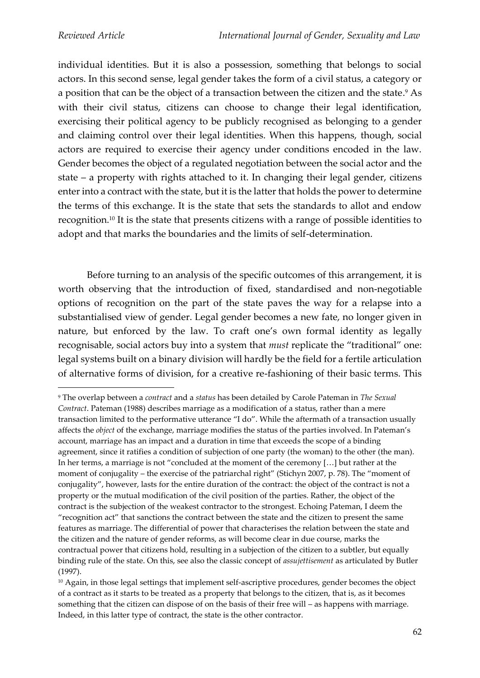individual identities. But it is also a possession, something that belongs to social actors. In this second sense, legal gender takes the form of a civil status, a category or a position that can be the object of a transaction between the citizen and the state. <sup>9</sup> As with their civil status, citizens can choose to change their legal identification, exercising their political agency to be publicly recognised as belonging to a gender and claiming control over their legal identities. When this happens, though, social actors are required to exercise their agency under conditions encoded in the law. Gender becomes the object of a regulated negotiation between the social actor and the state – a property with rights attached to it. In changing their legal gender, citizens enter into a contract with the state, but it is the latter that holds the power to determine the terms of this exchange. It is the state that sets the standards to allot and endow recognition.<sup>10</sup> It is the state that presents citizens with a range of possible identities to adopt and that marks the boundaries and the limits of self-determination.

Before turning to an analysis of the specific outcomes of this arrangement, it is worth observing that the introduction of fixed, standardised and non-negotiable options of recognition on the part of the state paves the way for a relapse into a substantialised view of gender. Legal gender becomes a new fate, no longer given in nature, but enforced by the law. To craft one's own formal identity as legally recognisable, social actors buy into a system that *must* replicate the "traditional" one: legal systems built on a binary division will hardly be the field for a fertile articulation of alternative forms of division, for a creative re-fashioning of their basic terms. This

<sup>9</sup> The overlap between a *contract* and a *status* has been detailed by Carole Pateman in *The Sexual Contract*. Pateman (1988) describes marriage as a modification of a status, rather than a mere transaction limited to the performative utterance "I do". While the aftermath of a transaction usually affects the *object* of the exchange, marriage modifies the status of the parties involved. In Pateman's account, marriage has an impact and a duration in time that exceeds the scope of a binding agreement, since it ratifies a condition of subjection of one party (the woman) to the other (the man). In her terms, a marriage is not "concluded at the moment of the ceremony […] but rather at the moment of conjugality – the exercise of the patriarchal right" (Stichyn 2007, p. 78). The "moment of conjugality", however, lasts for the entire duration of the contract: the object of the contract is not a property or the mutual modification of the civil position of the parties. Rather, the object of the contract is the subjection of the weakest contractor to the strongest. Echoing Pateman, I deem the "recognition act" that sanctions the contract between the state and the citizen to present the same features as marriage. The differential of power that characterises the relation between the state and the citizen and the nature of gender reforms, as will become clear in due course, marks the contractual power that citizens hold, resulting in a subjection of the citizen to a subtler, but equally binding rule of the state. On this, see also the classic concept of *assujettisement* as articulated by Butler (1997).

<sup>&</sup>lt;sup>10</sup> Again, in those legal settings that implement self-ascriptive procedures, gender becomes the object of a contract as it starts to be treated as a property that belongs to the citizen, that is, as it becomes something that the citizen can dispose of on the basis of their free will – as happens with marriage. Indeed, in this latter type of contract, the state is the other contractor.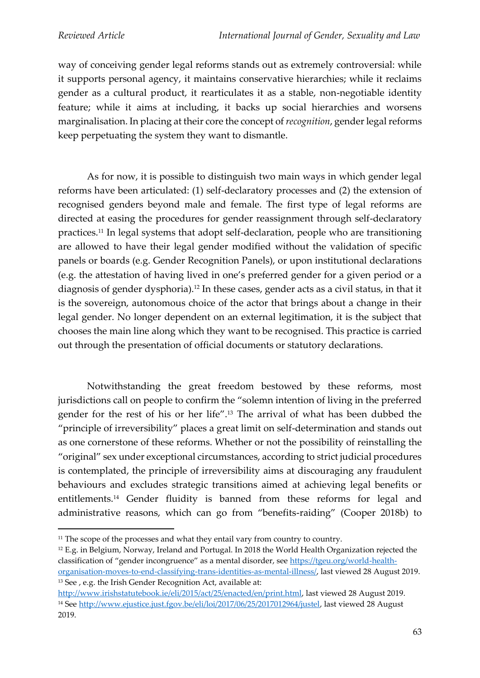way of conceiving gender legal reforms stands out as extremely controversial: while it supports personal agency, it maintains conservative hierarchies; while it reclaims gender as a cultural product, it rearticulates it as a stable, non-negotiable identity feature; while it aims at including, it backs up social hierarchies and worsens marginalisation. In placing at their core the concept of *recognition*, gender legal reforms keep perpetuating the system they want to dismantle.

As for now, it is possible to distinguish two main ways in which gender legal reforms have been articulated: (1) self-declaratory processes and (2) the extension of recognised genders beyond male and female. The first type of legal reforms are directed at easing the procedures for gender reassignment through self-declaratory practices.<sup>11</sup> In legal systems that adopt self-declaration, people who are transitioning are allowed to have their legal gender modified without the validation of specific panels or boards (e.g. Gender Recognition Panels), or upon institutional declarations (e.g. the attestation of having lived in one's preferred gender for a given period or a diagnosis of gender dysphoria).<sup>12</sup> In these cases, gender acts as a civil status, in that it is the sovereign, autonomous choice of the actor that brings about a change in their legal gender. No longer dependent on an external legitimation, it is the subject that chooses the main line along which they want to be recognised. This practice is carried out through the presentation of official documents or statutory declarations.

Notwithstanding the great freedom bestowed by these reforms, most jurisdictions call on people to confirm the "solemn intention of living in the preferred gender for the rest of his or her life".<sup>13</sup> The arrival of what has been dubbed the "principle of irreversibility" places a great limit on self-determination and stands out as one cornerstone of these reforms. Whether or not the possibility of reinstalling the "original" sex under exceptional circumstances, according to strict judicial procedures is contemplated, the principle of irreversibility aims at discouraging any fraudulent behaviours and excludes strategic transitions aimed at achieving legal benefits or entitlements.<sup>14</sup> Gender fluidity is banned from these reforms for legal and administrative reasons, which can go from "benefits-raiding" (Cooper 2018b) to

<sup>12</sup> E.g. in Belgium, Norway, Ireland and Portugal. In 2018 the World Health Organization rejected the classification of "gender incongruence" as a mental disorder, see [https://tgeu.org/world-health](https://tgeu.org/world-health-organisation-moves-to-end-classifying-trans-identities-as-mental-illness/)[organisation-moves-to-end-classifying-trans-identities-as-mental-illness/,](https://tgeu.org/world-health-organisation-moves-to-end-classifying-trans-identities-as-mental-illness/) last viewed 28 August 2019. <sup>13</sup> See, e.g. the Irish Gender Recognition Act, available at:

<sup>&</sup>lt;sup>11</sup> The scope of the processes and what they entail vary from country to country.

[http://www.irishstatutebook.ie/eli/2015/act/25/enacted/en/print.html,](http://www.irishstatutebook.ie/eli/2015/act/25/enacted/en/print.html) last viewed 28 August 2019. <sup>14</sup> See [http://www.ejustice.just.fgov.be/eli/loi/2017/06/25/2017012964/justel,](http://www.ejustice.just.fgov.be/eli/loi/2017/06/25/2017012964/justel) last viewed 28 August 2019.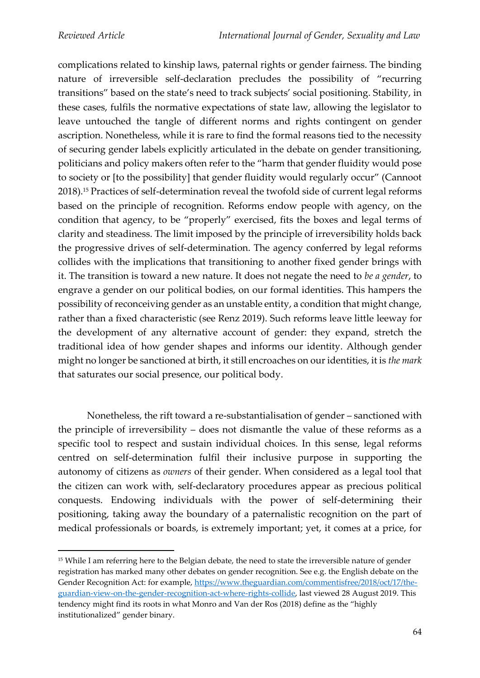complications related to kinship laws, paternal rights or gender fairness. The binding nature of irreversible self-declaration precludes the possibility of "recurring transitions" based on the state's need to track subjects' social positioning. Stability, in these cases, fulfils the normative expectations of state law, allowing the legislator to leave untouched the tangle of different norms and rights contingent on gender ascription. Nonetheless, while it is rare to find the formal reasons tied to the necessity of securing gender labels explicitly articulated in the debate on gender transitioning, politicians and policy makers often refer to the "harm that gender fluidity would pose to society or [to the possibility] that gender fluidity would regularly occur" (Cannoot 2018).<sup>15</sup> Practices of self-determination reveal the twofold side of current legal reforms based on the principle of recognition. Reforms endow people with agency, on the condition that agency, to be "properly" exercised, fits the boxes and legal terms of clarity and steadiness. The limit imposed by the principle of irreversibility holds back the progressive drives of self-determination. The agency conferred by legal reforms collides with the implications that transitioning to another fixed gender brings with it. The transition is toward a new nature. It does not negate the need to *be a gender*, to engrave a gender on our political bodies, on our formal identities. This hampers the possibility of reconceiving gender as an unstable entity, a condition that might change, rather than a fixed characteristic (see Renz 2019). Such reforms leave little leeway for the development of any alternative account of gender: they expand, stretch the traditional idea of how gender shapes and informs our identity. Although gender might no longer be sanctioned at birth, it still encroaches on our identities, it is *the mark*  that saturates our social presence, our political body.

Nonetheless, the rift toward a re-substantialisation of gender – sanctioned with the principle of irreversibility – does not dismantle the value of these reforms as a specific tool to respect and sustain individual choices. In this sense, legal reforms centred on self-determination fulfil their inclusive purpose in supporting the autonomy of citizens as *owners* of their gender. When considered as a legal tool that the citizen can work with, self-declaratory procedures appear as precious political conquests. Endowing individuals with the power of self-determining their positioning, taking away the boundary of a paternalistic recognition on the part of medical professionals or boards, is extremely important; yet, it comes at a price, for

<sup>15</sup> While I am referring here to the Belgian debate, the need to state the irreversible nature of gender registration has marked many other debates on gender recognition. See e.g. the English debate on the Gender Recognition Act: for example, [https://www.theguardian.com/commentisfree/2018/oct/17/the](https://www.theguardian.com/commentisfree/2018/oct/17/the-guardian-view-on-the-gender-recognition-act-where-rights-collide)[guardian-view-on-the-gender-recognition-act-where-rights-collide,](https://www.theguardian.com/commentisfree/2018/oct/17/the-guardian-view-on-the-gender-recognition-act-where-rights-collide) last viewed 28 August 2019. This tendency might find its roots in what Monro and Van der Ros (2018) define as the "highly institutionalized" gender binary.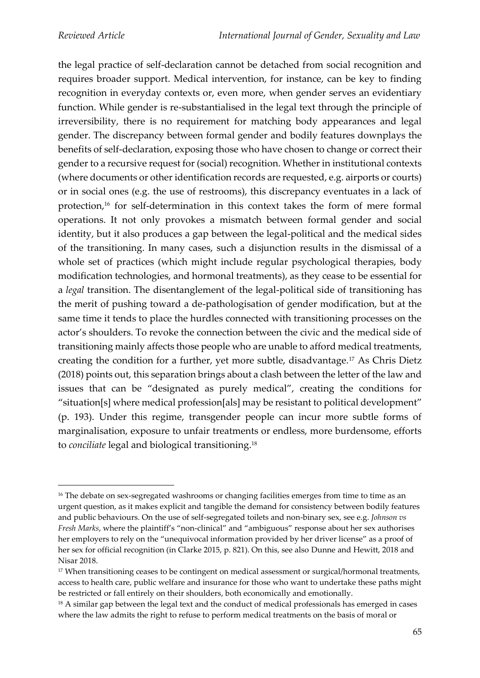the legal practice of self-declaration cannot be detached from social recognition and requires broader support. Medical intervention, for instance, can be key to finding recognition in everyday contexts or, even more, when gender serves an evidentiary function. While gender is re-substantialised in the legal text through the principle of irreversibility, there is no requirement for matching body appearances and legal gender. The discrepancy between formal gender and bodily features downplays the benefits of self-declaration, exposing those who have chosen to change or correct their gender to a recursive request for (social) recognition. Whether in institutional contexts (where documents or other identification records are requested, e.g. airports or courts) or in social ones (e.g. the use of restrooms), this discrepancy eventuates in a lack of protection,<sup>16</sup> for self-determination in this context takes the form of mere formal operations. It not only provokes a mismatch between formal gender and social identity, but it also produces a gap between the legal-political and the medical sides of the transitioning. In many cases, such a disjunction results in the dismissal of a whole set of practices (which might include regular psychological therapies, body modification technologies, and hormonal treatments), as they cease to be essential for a *legal* transition. The disentanglement of the legal-political side of transitioning has the merit of pushing toward a de-pathologisation of gender modification, but at the same time it tends to place the hurdles connected with transitioning processes on the actor's shoulders. To revoke the connection between the civic and the medical side of transitioning mainly affects those people who are unable to afford medical treatments, creating the condition for a further, yet more subtle, disadvantage.<sup>17</sup> As Chris Dietz (2018) points out, this separation brings about a clash between the letter of the law and issues that can be "designated as purely medical", creating the conditions for "situation[s] where medical profession[als] may be resistant to political development" (p. 193). Under this regime, transgender people can incur more subtle forms of marginalisation, exposure to unfair treatments or endless, more burdensome, efforts to *conciliate* legal and biological transitioning.<sup>18</sup>

<sup>&</sup>lt;sup>16</sup> The debate on sex-segregated washrooms or changing facilities emerges from time to time as an urgent question, as it makes explicit and tangible the demand for consistency between bodily features and public behaviours. On the use of self-segregated toilets and non-binary sex, see e.g. *Johnson vs Fresh Marks*, where the plaintiff's "non-clinical" and "ambiguous" response about her sex authorises her employers to rely on the "unequivocal information provided by her driver license" as a proof of her sex for official recognition (in Clarke 2015, p. 821). On this, see also Dunne and Hewitt, 2018 and Nisar 2018.

<sup>&</sup>lt;sup>17</sup> When transitioning ceases to be contingent on medical assessment or surgical/hormonal treatments, access to health care, public welfare and insurance for those who want to undertake these paths might be restricted or fall entirely on their shoulders, both economically and emotionally.

<sup>&</sup>lt;sup>18</sup> A similar gap between the legal text and the conduct of medical professionals has emerged in cases where the law admits the right to refuse to perform medical treatments on the basis of moral or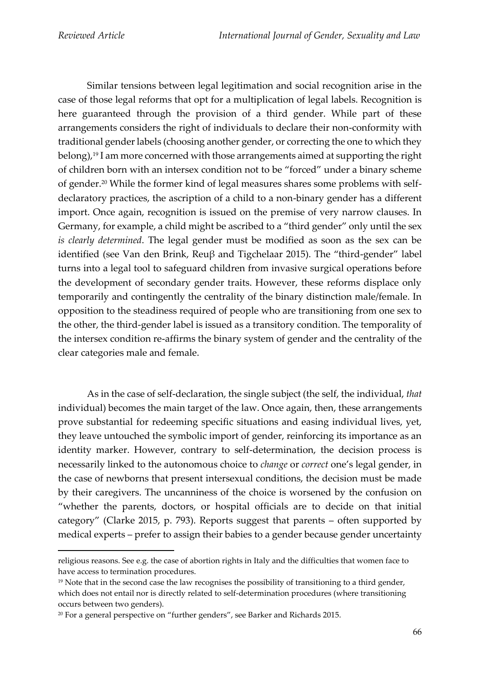Similar tensions between legal legitimation and social recognition arise in the case of those legal reforms that opt for a multiplication of legal labels. Recognition is here guaranteed through the provision of a third gender. While part of these arrangements considers the right of individuals to declare their non-conformity with traditional gender labels (choosing another gender, or correcting the one to which they belong),<sup>19</sup> I am more concerned with those arrangements aimed at supporting the right of children born with an intersex condition not to be "forced" under a binary scheme of gender.<sup>20</sup> While the former kind of legal measures shares some problems with selfdeclaratory practices, the ascription of a child to a non-binary gender has a different import. Once again, recognition is issued on the premise of very narrow clauses. In Germany, for example, a child might be ascribed to a "third gender" only until the sex *is clearly determined*. The legal gender must be modified as soon as the sex can be identified (see Van den Brink, Reuβ and Tigchelaar 2015). The "third-gender" label turns into a legal tool to safeguard children from invasive surgical operations before the development of secondary gender traits. However, these reforms displace only temporarily and contingently the centrality of the binary distinction male/female. In opposition to the steadiness required of people who are transitioning from one sex to the other, the third-gender label is issued as a transitory condition. The temporality of the intersex condition re-affirms the binary system of gender and the centrality of the clear categories male and female.

As in the case of self-declaration, the single subject (the self, the individual, *that* individual) becomes the main target of the law. Once again, then, these arrangements prove substantial for redeeming specific situations and easing individual lives, yet, they leave untouched the symbolic import of gender, reinforcing its importance as an identity marker. However, contrary to self-determination, the decision process is necessarily linked to the autonomous choice to *change* or *correct* one's legal gender, in the case of newborns that present intersexual conditions, the decision must be made by their caregivers. The uncanniness of the choice is worsened by the confusion on "whether the parents, doctors, or hospital officials are to decide on that initial category" (Clarke 2015, p. 793). Reports suggest that parents – often supported by medical experts – prefer to assign their babies to a gender because gender uncertainty

religious reasons. See e.g. the case of abortion rights in Italy and the difficulties that women face to have access to termination procedures.

<sup>&</sup>lt;sup>19</sup> Note that in the second case the law recognises the possibility of transitioning to a third gender, which does not entail nor is directly related to self-determination procedures (where transitioning occurs between two genders).

<sup>20</sup> For a general perspective on "further genders", see Barker and Richards 2015.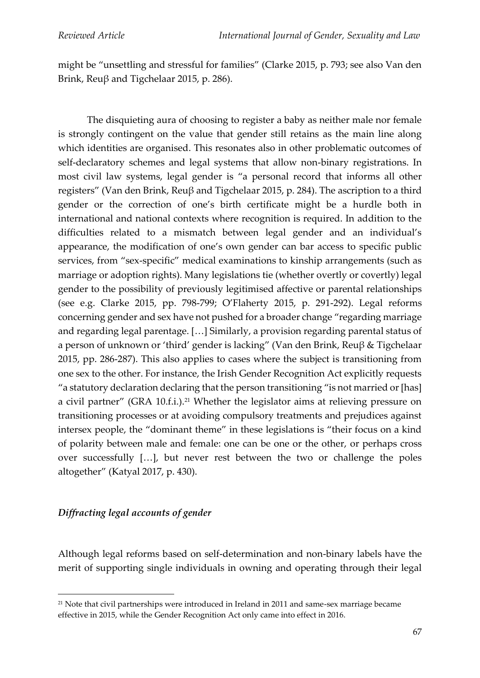might be "unsettling and stressful for families" (Clarke 2015, p. 793; see also Van den Brink, Reuβ and Tigchelaar 2015, p. 286).

The disquieting aura of choosing to register a baby as neither male nor female is strongly contingent on the value that gender still retains as the main line along which identities are organised. This resonates also in other problematic outcomes of self-declaratory schemes and legal systems that allow non-binary registrations. In most civil law systems, legal gender is "a personal record that informs all other registers" (Van den Brink, Reuβ and Tigchelaar 2015, p. 284). The ascription to a third gender or the correction of one's birth certificate might be a hurdle both in international and national contexts where recognition is required. In addition to the difficulties related to a mismatch between legal gender and an individual's appearance, the modification of one's own gender can bar access to specific public services, from "sex-specific" medical examinations to kinship arrangements (such as marriage or adoption rights). Many legislations tie (whether overtly or covertly) legal gender to the possibility of previously legitimised affective or parental relationships (see e.g. Clarke 2015, pp. 798-799; O'Flaherty 2015, p. 291-292). Legal reforms concerning gender and sex have not pushed for a broader change "regarding marriage and regarding legal parentage. […] Similarly, a provision regarding parental status of a person of unknown or 'third' gender is lacking" (Van den Brink, Reuβ & Tigchelaar 2015, pp. 286-287). This also applies to cases where the subject is transitioning from one sex to the other. For instance, the Irish Gender Recognition Act explicitly requests "a statutory declaration declaring that the person transitioning "is not married or [has] a civil partner" (GRA 10.f.i.).<sup>21</sup> Whether the legislator aims at relieving pressure on transitioning processes or at avoiding compulsory treatments and prejudices against intersex people, the "dominant theme" in these legislations is "their focus on a kind of polarity between male and female: one can be one or the other, or perhaps cross over successfully […], but never rest between the two or challenge the poles altogether" (Katyal 2017, p. 430).

# *Diffracting legal accounts of gender*

Although legal reforms based on self-determination and non-binary labels have the merit of supporting single individuals in owning and operating through their legal

<sup>&</sup>lt;sup>21</sup> Note that civil partnerships were introduced in Ireland in 2011 and same-sex marriage became effective in 2015, while the Gender Recognition Act only came into effect in 2016.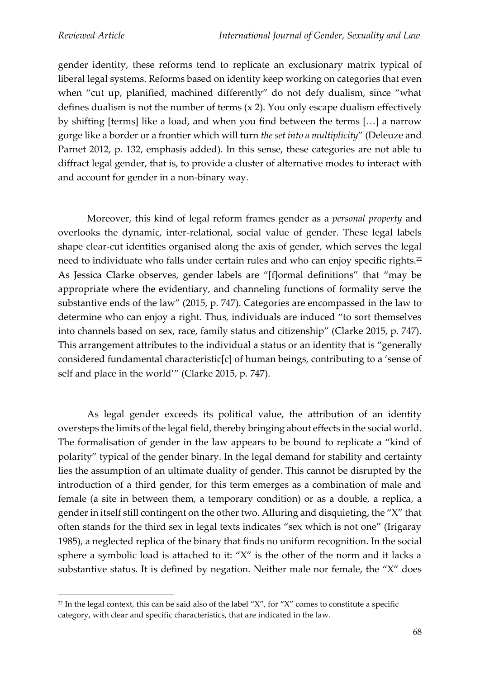gender identity, these reforms tend to replicate an exclusionary matrix typical of liberal legal systems. Reforms based on identity keep working on categories that even when "cut up, planified, machined differently" do not defy dualism, since "what defines dualism is not the number of terms (x 2). You only escape dualism effectively by shifting [terms] like a load, and when you find between the terms […] a narrow gorge like a border or a frontier which will turn *the set into a multiplicity*" (Deleuze and Parnet 2012, p. 132, emphasis added). In this sense, these categories are not able to diffract legal gender, that is, to provide a cluster of alternative modes to interact with and account for gender in a non-binary way.

Moreover, this kind of legal reform frames gender as a *personal property* and overlooks the dynamic, inter-relational, social value of gender. These legal labels shape clear-cut identities organised along the axis of gender, which serves the legal need to individuate who falls under certain rules and who can enjoy specific rights.<sup>22</sup> As Jessica Clarke observes, gender labels are "[f]ormal definitions" that "may be appropriate where the evidentiary, and channeling functions of formality serve the substantive ends of the law" (2015, p. 747). Categories are encompassed in the law to determine who can enjoy a right. Thus, individuals are induced "to sort themselves into channels based on sex, race, family status and citizenship" (Clarke 2015, p. 747). This arrangement attributes to the individual a status or an identity that is "generally considered fundamental characteristic[c] of human beings, contributing to a 'sense of self and place in the world'" (Clarke 2015, p. 747).

As legal gender exceeds its political value, the attribution of an identity oversteps the limits of the legal field, thereby bringing about effects in the social world. The formalisation of gender in the law appears to be bound to replicate a "kind of polarity" typical of the gender binary. In the legal demand for stability and certainty lies the assumption of an ultimate duality of gender. This cannot be disrupted by the introduction of a third gender, for this term emerges as a combination of male and female (a site in between them, a temporary condition) or as a double, a replica, a gender in itself still contingent on the other two. Alluring and disquieting, the "X" that often stands for the third sex in legal texts indicates "sex which is not one" (Irigaray 1985), a neglected replica of the binary that finds no uniform recognition. In the social sphere a symbolic load is attached to it: "X" is the other of the norm and it lacks a substantive status. It is defined by negation. Neither male nor female, the "X" does

 $22$  In the legal context, this can be said also of the label "X", for "X" comes to constitute a specific category, with clear and specific characteristics, that are indicated in the law.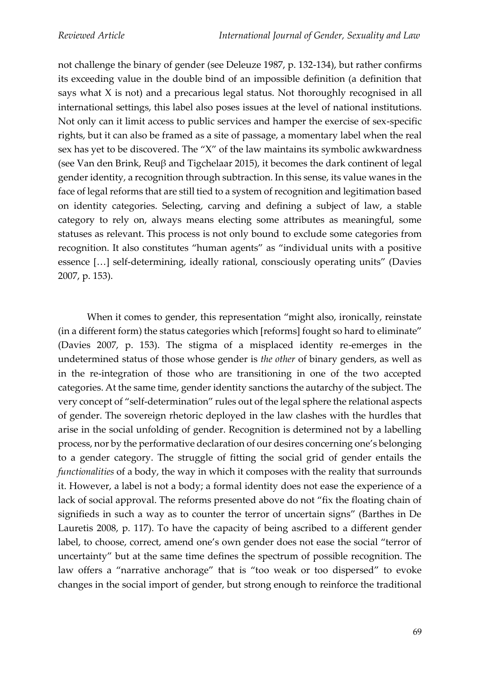not challenge the binary of gender (see Deleuze 1987, p. 132-134), but rather confirms its exceeding value in the double bind of an impossible definition (a definition that says what X is not) and a precarious legal status. Not thoroughly recognised in all international settings, this label also poses issues at the level of national institutions. Not only can it limit access to public services and hamper the exercise of sex-specific rights, but it can also be framed as a site of passage, a momentary label when the real sex has yet to be discovered. The "X" of the law maintains its symbolic awkwardness (see Van den Brink, Reuβ and Tigchelaar 2015), it becomes the dark continent of legal gender identity, a recognition through subtraction. In this sense, its value wanes in the face of legal reforms that are still tied to a system of recognition and legitimation based on identity categories. Selecting, carving and defining a subject of law, a stable category to rely on, always means electing some attributes as meaningful, some statuses as relevant. This process is not only bound to exclude some categories from recognition. It also constitutes "human agents" as "individual units with a positive essence […] self-determining, ideally rational, consciously operating units" (Davies 2007, p. 153).

When it comes to gender, this representation "might also, ironically, reinstate (in a different form) the status categories which [reforms] fought so hard to eliminate" (Davies 2007, p. 153). The stigma of a misplaced identity re-emerges in the undetermined status of those whose gender is *the other* of binary genders, as well as in the re-integration of those who are transitioning in one of the two accepted categories. At the same time, gender identity sanctions the autarchy of the subject. The very concept of "self-determination" rules out of the legal sphere the relational aspects of gender. The sovereign rhetoric deployed in the law clashes with the hurdles that arise in the social unfolding of gender. Recognition is determined not by a labelling process, nor by the performative declaration of our desires concerning one's belonging to a gender category. The struggle of fitting the social grid of gender entails the *functionalities* of a body, the way in which it composes with the reality that surrounds it. However, a label is not a body; a formal identity does not ease the experience of a lack of social approval. The reforms presented above do not "fix the floating chain of signifieds in such a way as to counter the terror of uncertain signs" (Barthes in De Lauretis 2008, p. 117). To have the capacity of being ascribed to a different gender label, to choose, correct, amend one's own gender does not ease the social "terror of uncertainty" but at the same time defines the spectrum of possible recognition. The law offers a "narrative anchorage" that is "too weak or too dispersed" to evoke changes in the social import of gender, but strong enough to reinforce the traditional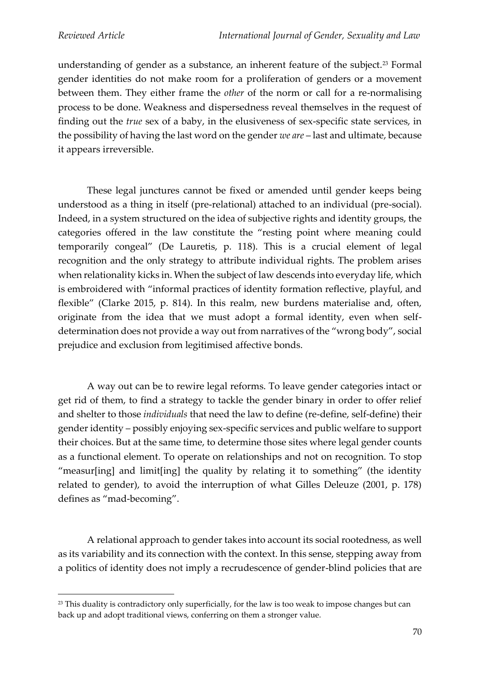understanding of gender as a substance, an inherent feature of the subject.<sup>23</sup> Formal gender identities do not make room for a proliferation of genders or a movement between them. They either frame the *other* of the norm or call for a re-normalising process to be done. Weakness and dispersedness reveal themselves in the request of finding out the *true* sex of a baby, in the elusiveness of sex-specific state services, in the possibility of having the last word on the gender *we are* – last and ultimate, because it appears irreversible.

These legal junctures cannot be fixed or amended until gender keeps being understood as a thing in itself (pre-relational) attached to an individual (pre-social). Indeed, in a system structured on the idea of subjective rights and identity groups, the categories offered in the law constitute the "resting point where meaning could temporarily congeal" (De Lauretis, p. 118). This is a crucial element of legal recognition and the only strategy to attribute individual rights. The problem arises when relationality kicks in. When the subject of law descends into everyday life, which is embroidered with "informal practices of identity formation reflective, playful, and flexible" (Clarke 2015, p. 814). In this realm, new burdens materialise and, often, originate from the idea that we must adopt a formal identity, even when selfdetermination does not provide a way out from narratives of the "wrong body", social prejudice and exclusion from legitimised affective bonds.

A way out can be to rewire legal reforms. To leave gender categories intact or get rid of them, to find a strategy to tackle the gender binary in order to offer relief and shelter to those *individuals* that need the law to define (re-define, self-define) their gender identity – possibly enjoying sex-specific services and public welfare to support their choices. But at the same time, to determine those sites where legal gender counts as a functional element. To operate on relationships and not on recognition. To stop "measur[ing] and limit[ing] the quality by relating it to something" (the identity related to gender), to avoid the interruption of what Gilles Deleuze (2001, p. 178) defines as "mad-becoming".

A relational approach to gender takes into account its social rootedness, as well as its variability and its connection with the context. In this sense, stepping away from a politics of identity does not imply a recrudescence of gender-blind policies that are

<sup>&</sup>lt;sup>23</sup> This duality is contradictory only superficially, for the law is too weak to impose changes but can back up and adopt traditional views, conferring on them a stronger value.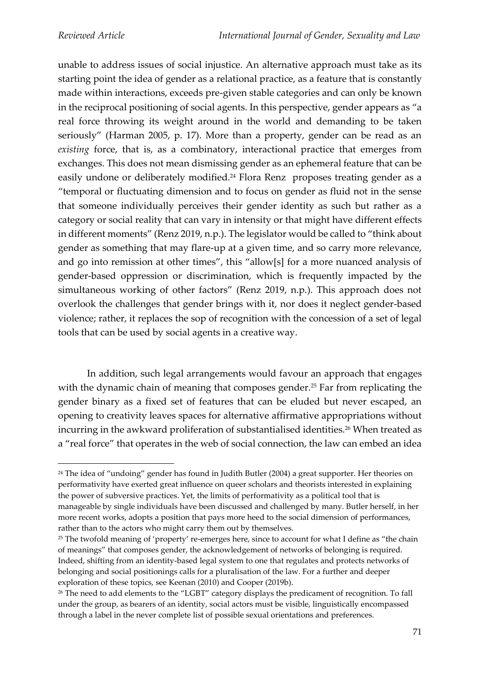unable to address issues of social injustice. An alternative approach must take as its starting point the idea of gender as a relational practice, as a feature that is constantly made within interactions, exceeds pre-given stable categories and can only be known in the reciprocal positioning of social agents. In this perspective, gender appears as "a real force throwing its weight around in the world and demanding to be taken seriously" (Harman 2005, p. 17). More than a property, gender can be read as an *existing* force, that is, as a combinatory, interactional practice that emerges from exchanges. This does not mean dismissing gender as an ephemeral feature that can be easily undone or deliberately modified.<sup>24</sup> Flora Renz proposes treating gender as a "temporal or fluctuating dimension and to focus on gender as fluid not in the sense that someone individually perceives their gender identity as such but rather as a category or social reality that can vary in intensity or that might have different effects in different moments" (Renz 2019, n.p.). The legislator would be called to "think about gender as something that may flare-up at a given time, and so carry more relevance, and go into remission at other times", this "allow[s] for a more nuanced analysis of gender-based oppression or discrimination, which is frequently impacted by the simultaneous working of other factors" (Renz 2019, n.p.). This approach does not overlook the challenges that gender brings with it, nor does it neglect gender-based violence; rather, it replaces the sop of recognition with the concession of a set of legal tools that can be used by social agents in a creative way.

In addition, such legal arrangements would favour an approach that engages with the dynamic chain of meaning that composes gender.<sup>25</sup> Far from replicating the gender binary as a fixed set of features that can be eluded but never escaped, an opening to creativity leaves spaces for alternative affirmative appropriations without incurring in the awkward proliferation of substantialised identities.<sup>26</sup> When treated as a "real force" that operates in the web of social connection, the law can embed an idea

<sup>&</sup>lt;sup>24</sup> The idea of "undoing" gender has found in Judith Butler (2004) a great supporter. Her theories on performativity have exerted great influence on queer scholars and theorists interested in explaining the power of subversive practices. Yet, the limits of performativity as a political tool that is manageable by single individuals have been discussed and challenged by many. Butler herself, in her more recent works, adopts a position that pays more heed to the social dimension of performances, rather than to the actors who might carry them out by themselves.

<sup>&</sup>lt;sup>25</sup> The twofold meaning of 'property' re-emerges here, since to account for what I define as "the chain of meanings" that composes gender, the acknowledgement of networks of belonging is required. Indeed, shifting from an identity-based legal system to one that regulates and protects networks of belonging and social positionings calls for a pluralisation of the law. For a further and deeper exploration of these topics, see Keenan (2010) and Cooper (2019b).

<sup>&</sup>lt;sup>26</sup> The need to add elements to the "LGBT" category displays the predicament of recognition. To fall under the group, as bearers of an identity, social actors must be visible, linguistically encompassed through a label in the never complete list of possible sexual orientations and preferences.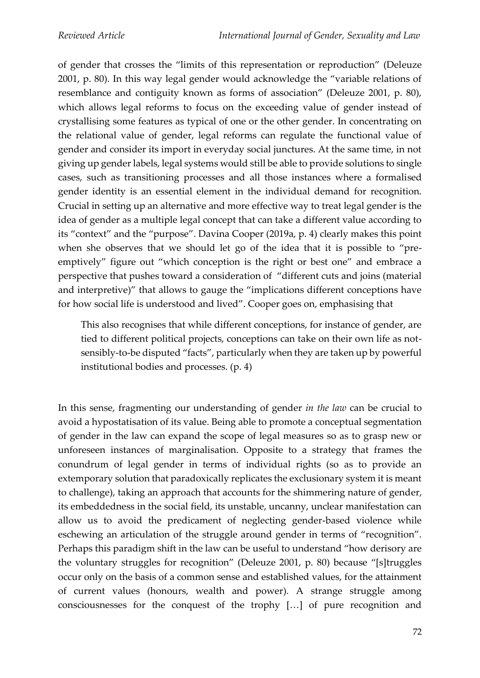of gender that crosses the "limits of this representation or reproduction" (Deleuze 2001, p. 80). In this way legal gender would acknowledge the "variable relations of resemblance and contiguity known as forms of association" (Deleuze 2001, p. 80), which allows legal reforms to focus on the exceeding value of gender instead of crystallising some features as typical of one or the other gender. In concentrating on the relational value of gender, legal reforms can regulate the functional value of gender and consider its import in everyday social junctures. At the same time, in not giving up gender labels, legal systems would still be able to provide solutions to single cases, such as transitioning processes and all those instances where a formalised gender identity is an essential element in the individual demand for recognition. Crucial in setting up an alternative and more effective way to treat legal gender is the idea of gender as a multiple legal concept that can take a different value according to its "context" and the "purpose". Davina Cooper (2019a, p. 4) clearly makes this point when she observes that we should let go of the idea that it is possible to "preemptively" figure out "which conception is the right or best one" and embrace a perspective that pushes toward a consideration of "different cuts and joins (material and interpretive)" that allows to gauge the "implications different conceptions have for how social life is understood and lived". Cooper goes on, emphasising that

This also recognises that while different conceptions, for instance of gender, are tied to different political projects, conceptions can take on their own life as notsensibly-to-be disputed "facts", particularly when they are taken up by powerful institutional bodies and processes. (p. 4)

In this sense, fragmenting our understanding of gender *in the law* can be crucial to avoid a hypostatisation of its value. Being able to promote a conceptual segmentation of gender in the law can expand the scope of legal measures so as to grasp new or unforeseen instances of marginalisation. Opposite to a strategy that frames the conundrum of legal gender in terms of individual rights (so as to provide an extemporary solution that paradoxically replicates the exclusionary system it is meant to challenge), taking an approach that accounts for the shimmering nature of gender, its embeddedness in the social field, its unstable, uncanny, unclear manifestation can allow us to avoid the predicament of neglecting gender-based violence while eschewing an articulation of the struggle around gender in terms of "recognition". Perhaps this paradigm shift in the law can be useful to understand "how derisory are the voluntary struggles for recognition" (Deleuze 2001, p. 80) because "[s]truggles occur only on the basis of a common sense and established values, for the attainment of current values (honours, wealth and power). A strange struggle among consciousnesses for the conquest of the trophy […] of pure recognition and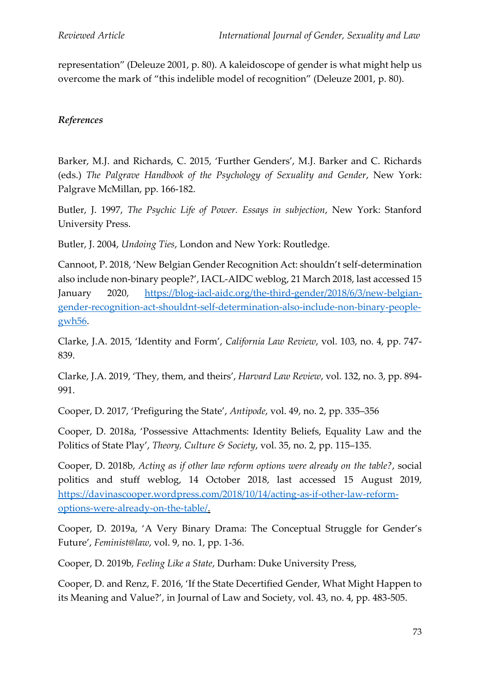representation" (Deleuze 2001, p. 80). A kaleidoscope of gender is what might help us overcome the mark of "this indelible model of recognition" (Deleuze 2001, p. 80).

# *References*

Barker, M.J. and Richards, C. 2015, 'Further Genders', M.J. Barker and C. Richards (eds.) *The Palgrave Handbook of the Psychology of Sexuality and Gender*, New York: Palgrave McMillan, pp. 166-182.

Butler, J. 1997, *The Psychic Life of Power. Essays in subjection*, New York: Stanford University Press.

Butler, J. 2004, *Undoing Ties*, London and New York: Routledge.

Cannoot, P. 2018, 'New Belgian Gender Recognition Act: shouldn't self-determination also include non-binary people?', IACL-AIDC weblog, 21 March 2018, last accessed 15 January 2020, [https://blog-iacl-aidc.org/the-third-gender/2018/6/3/new-belgian](https://blog-iacl-aidc.org/the-third-gender/2018/6/3/new-belgian-gender-recognition-act-shouldnt-self-determination-also-include-non-binary-people-gwh56)[gender-recognition-act-shouldnt-self-determination-also-include-non-binary-people](https://blog-iacl-aidc.org/the-third-gender/2018/6/3/new-belgian-gender-recognition-act-shouldnt-self-determination-also-include-non-binary-people-gwh56)[gwh56.](https://blog-iacl-aidc.org/the-third-gender/2018/6/3/new-belgian-gender-recognition-act-shouldnt-self-determination-also-include-non-binary-people-gwh56)

Clarke, J.A. 2015, 'Identity and Form', *California Law Review*, vol. 103, no. 4, pp. 747- 839.

Clarke, J.A. 2019, 'They, them, and theirs', *Harvard Law Review*, vol. 132, no. 3, pp. 894- 991.

Cooper, D. 2017, 'Prefiguring the State', *Antipode*, vol. 49, no. 2, pp. 335–356

Cooper, D. 2018a, 'Possessive Attachments: Identity Beliefs, Equality Law and the Politics of State Play', *Theory, Culture & Society*, vol. 35, no. 2, pp. 115–135.

Cooper, D. 2018b, *Acting as if other law reform options were already on the table?*, social politics and stuff weblog, 14 October 2018, last accessed 15 August 2019, [https://davinascooper.wordpress.com/2018/10/14/acting-as-if-other-law-reform](https://davinascooper.wordpress.com/2018/10/14/acting-as-if-other-law-reform-options-were-already-on-the-table/)[options-were-already-on-the-table/.](https://davinascooper.wordpress.com/2018/10/14/acting-as-if-other-law-reform-options-were-already-on-the-table/)

Cooper, D. 2019a, 'A Very Binary Drama: The Conceptual Struggle for Gender's Future', *Feminist@law*, vol. 9, no. 1, pp. 1-36.

Cooper, D. 2019b, *Feeling Like a State*, Durham: Duke University Press,

Cooper, D. and Renz, F. 2016, 'If the State Decertified Gender, What Might Happen to its Meaning and Value?', in Journal of Law and Society, vol. 43, no. 4, pp. 483-505.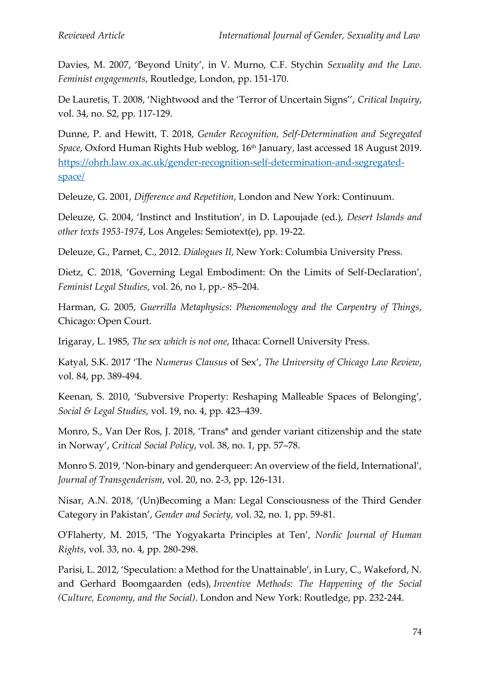Davies, M. 2007, 'Beyond Unity', in V. Murno, C.F. Stychin *Sexuality and the Law. Feminist engagements*, Routledge, London, pp. 151-170.

De Lauretis, T. 2008, 'Nightwood and the 'Terror of Uncertain Signs'', *Critical Inquiry*, vol. 34, no. S2, pp. 117-129.

Dunne, P. and Hewitt, T. 2018, *Gender Recognition, Self-Determination and Segregated*  Space, Oxford Human Rights Hub weblog, 16<sup>th</sup> January, last accessed 18 August 2019. [https://ohrh.law.ox.ac.uk/gender-recognition-self-determination-and-segregated](https://ohrh.law.ox.ac.uk/gender-recognition-self-determination-and-segregated-space/)[space/](https://ohrh.law.ox.ac.uk/gender-recognition-self-determination-and-segregated-space/)

Deleuze, G. 2001, *Difference and Repetition*, London and New York: Continuum.

Deleuze, G. 2004, 'Instinct and Institution', in D. Lapoujade (ed.), *Desert Islands and other texts 1953-1974*, Los Angeles: Semiotext(e), pp. 19-22.

Deleuze, G., Parnet, C., 2012. *Dialogues II*, New York: Columbia University Press.

Dietz, C. 2018, 'Governing Legal Embodiment: On the Limits of Self-Declaration', *Feminist Legal Studies*, vol. 26, no 1, pp.- 85–204.

Harman, G. 2005, *Guerrilla Metaphysics: Phenomenology and the Carpentry of Things*, Chicago: Open Court.

Irigaray, L. 1985, *The sex which is not one*, Ithaca: Cornell University Press.

Katyal, S.K. 2017 'The *Numerus Clausus* of Sex', *The University of Chicago Law Review*, vol. 84, pp. 389-494.

Keenan, S. 2010, 'Subversive Property: Reshaping Malleable Spaces of Belonging', *Social & Legal Studies*, vol. 19, no. 4, pp. 423–439.

Monro, S., Van Der Ros, J. 2018, 'Trans\* and gender variant citizenship and the state in Norway', *Critical Social Policy*, vol. 38, no. 1, pp. 57–78.

Monro S. 2019, 'Non-binary and genderqueer: An overview of the field, International', *Journal of Transgenderism*, vol. 20, no. 2-3, pp. 126-131.

Nisar, A.N. 2018, '(Un)Becoming a Man: Legal Consciousness of the Third Gender Category in Pakistan', *Gender and Society*, vol. 32, no. 1, pp. 59-81.

O'Flaherty, M. 2015, 'The Yogyakarta Principles at Ten', *Nordic Journal of Human Rights*, vol. 33, no. 4, pp. 280-298.

Parisi, L. 2012, 'Speculation: a Method for the Unattainable', in Lury, C., Wakeford, N. and Gerhard Boomgaarden (eds), *Inventive Methods: The Happening of the Social (Culture, Economy, and the Social)*. London and New York: Routledge, pp. 232-244.